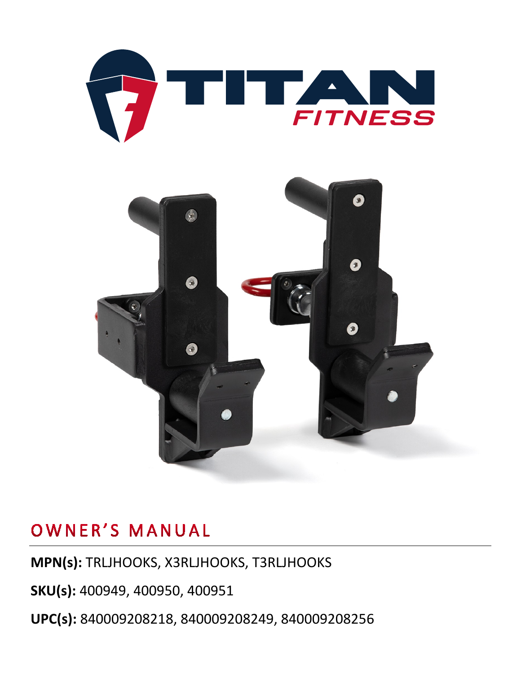



### OWNER'S MANUAL

**MPN(s):** TRLJHOOKS, X3RLJHOOKS, T3RLJHOOKS

**SKU(s):** 400949, 400950, 400951

**UPC(s):** 840009208218, 840009208249, 840009208256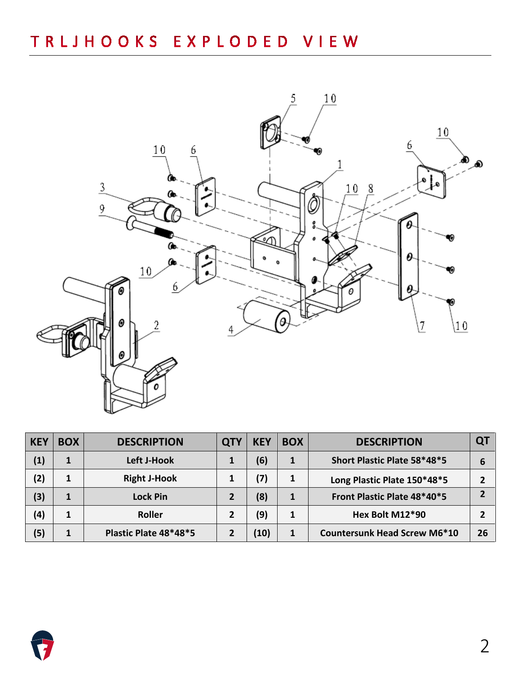

| <b>KEY</b> | <b>BOX</b> | <b>DESCRIPTION</b>    | <b>QTY</b> | <b>KEY</b> | <b>BOX</b> | <b>DESCRIPTION</b>                  |    |
|------------|------------|-----------------------|------------|------------|------------|-------------------------------------|----|
| (1)        |            | Left J-Hook           |            | (6)        |            | Short Plastic Plate 58*48*5         |    |
| (2)        |            | <b>Right J-Hook</b>   |            | (7)        |            | Long Plastic Plate 150*48*5         |    |
| (3)        |            | <b>Lock Pin</b>       |            | (8)        |            | Front Plastic Plate 48*40*5         |    |
| (4)        |            | <b>Roller</b>         |            | (9)        |            | Hex Bolt M12*90                     |    |
| (5)        |            | Plastic Plate 48*48*5 |            | (10)       | 1          | <b>Countersunk Head Screw M6*10</b> | 26 |

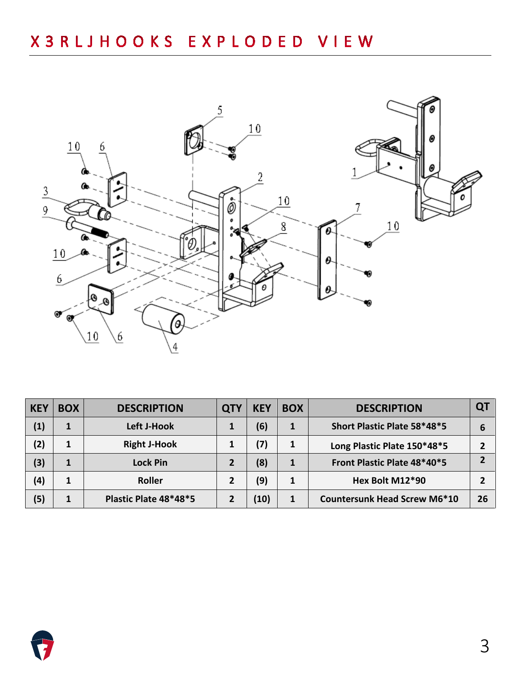

| <b>KEY</b>     | <b>BOX</b> | <b>DESCRIPTION</b>    | <b>QTY</b> | <b>KEY</b> | <b>BOX</b> | <b>DESCRIPTION</b>                  | QT |
|----------------|------------|-----------------------|------------|------------|------------|-------------------------------------|----|
| $\overline{1}$ |            | Left J-Hook           |            | (6)        |            | Short Plastic Plate 58*48*5         | 6  |
| (2)            |            | <b>Right J-Hook</b>   |            | '7)        |            | Long Plastic Plate 150*48*5         |    |
| (3)            |            | <b>Lock Pin</b>       |            | (8)        |            | Front Plastic Plate 48*40*5         |    |
| (4)            |            | Roller                |            | (9)        |            | Hex Bolt M12*90                     |    |
| (5)            |            | Plastic Plate 48*48*5 |            | 10)        | 1          | <b>Countersunk Head Screw M6*10</b> | 26 |

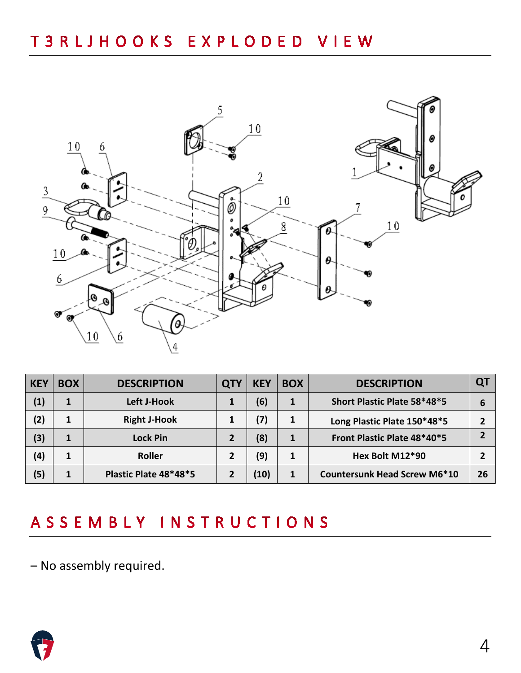

| <b>KEY</b> | <b>BOX</b> | <b>DESCRIPTION</b>    | QT | <b>KEY</b> | <b>BOX</b> | <b>DESCRIPTION</b>                  | Q1 |
|------------|------------|-----------------------|----|------------|------------|-------------------------------------|----|
| (1)        | 1          | Left J-Hook           |    | (6)        | 1          | Short Plastic Plate 58*48*5         | 6  |
| (2)        | 1          | <b>Right J-Hook</b>   |    | (7)        | 1          | Long Plastic Plate 150*48*5         |    |
| (3)        | 1          | <b>Lock Pin</b>       |    | (8)        | 1          | Front Plastic Plate 48*40*5         |    |
| (4)        | 1          | <b>Roller</b>         |    | (9)        | 1          | Hex Bolt M12*90                     |    |
| (5)        |            | Plastic Plate 48*48*5 |    | 10)        | 1          | <b>Countersunk Head Screw M6*10</b> | 26 |

## ASSEMBLY INSTRUCTIONS

– No assembly required.